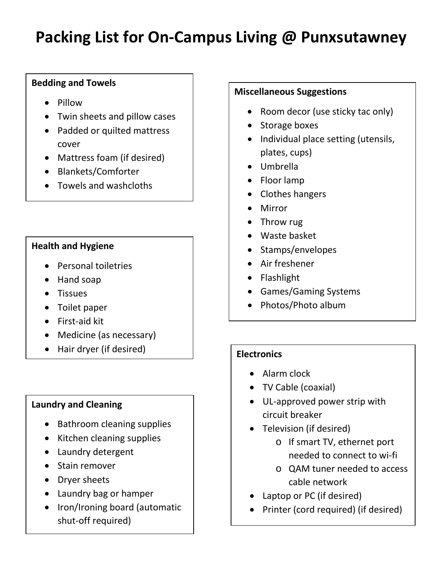# **Packing List for On-Campus Living @ Punxsutawney**

## **Bedding and Towels**

- Pillow
- Twin sheets and pillow cases
- Padded or quilted mattress cover
- Mattress foam (if desired)
- Blankets/Comforter
- Towels and washcloths

### **Health and Hygiene**

- Personal toiletries
- Hand soap
- Tissues
- Toilet paper
- First-aid kit
- Medicine (as necessary)
- Hair dryer (if desired) **Electronics**

## **Laundry and Cleaning**

- Bathroom cleaning supplies
- Kitchen cleaning supplies
- Laundry detergent
- Stain remover
- Dryer sheets
- Laundry bag or hamper
- Iron/Ironing board (automatic shut-off required)

### **Miscellaneous Suggestions**

- Room decor (use sticky tac only)
- Storage boxes
- Individual place setting (utensils, plates, cups)
- Umbrella
- Floor lamp
- Clothes hangers
- Mirror
- Throw rug
- Waste basket
- Stamps/envelopes
- Air freshener
- Flashlight
- Games/Gaming Systems
- Photos/Photo album

- Alarm clock
- TV Cable (coaxial)
- UL-approved power strip with circuit breaker
- Television (if desired)
	- o If smart TV, ethernet port needed to connect to wi-fi
	- o QAM tuner needed to access cable network
- Laptop or PC (if desired)
- Printer (cord required) (if desired)